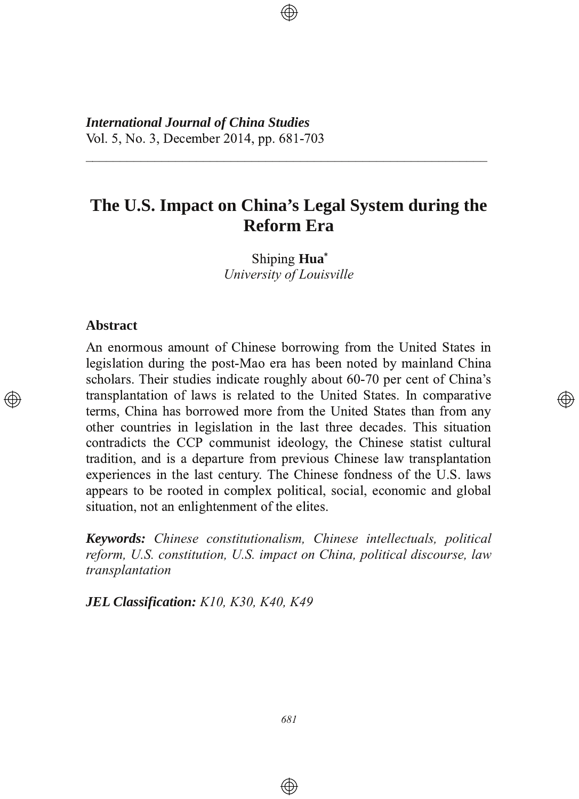*International Journal of China Studies* Vol. 5, No. 3, December 2014, pp. 681-703

# **The U.S. Impact on China's Legal System during the Reform Era**

3333333333333333333333333333333333333333333333333333333333

Shiping Hua<sup>\*</sup> *University of Louisville*

## **Abstract**

An enormous amount of Chinese borrowing from the United States in legislation during the post-Mao era has been noted by mainland China scholars. Their studies indicate roughly about 60-70 per cent of China's transplantation of laws is related to the United States. In comparative terms, China has borrowed more from the United States than from any other countries in legislation in the last three decades. This situation contradicts the CCP communist ideology, the Chinese statist cultural tradition, and is a departure from previous Chinese law transplantation experiences in the last century. The Chinese fondness of the U.S. laws appears to be rooted in complex political, social, economic and global situation, not an enlightenment of the elites.

</u>

*Keywords: Chinese constitutionalism, Chinese intellectuals, political reform, U.S. constitution, U.S. impact on China, political discourse, law transplantation*

*JEL Classification: K10, K30, K40, K49*

 $\bigoplus$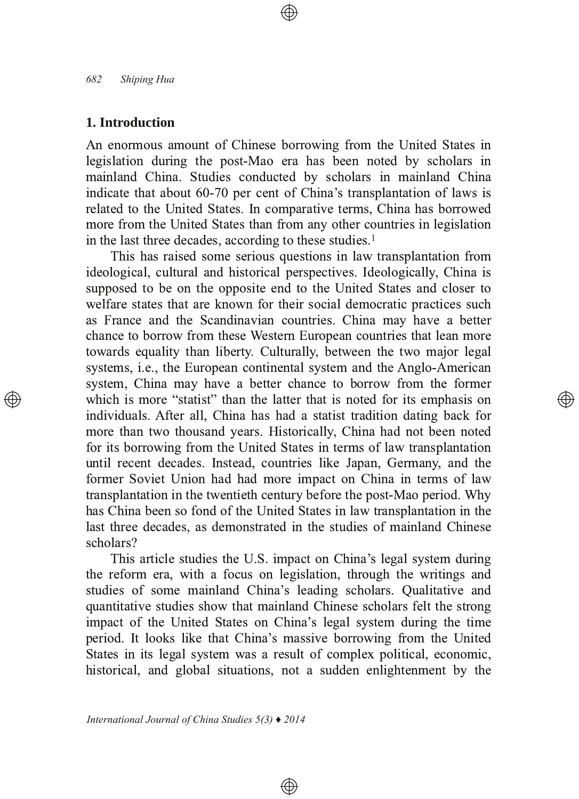## **1. Introduction**

An enormous amount of Chinese borrowing from the United States in legislation during the post-Mao era has been noted by scholars in mainland China. Studies conducted by scholars in mainland China indicate that about 60-70 per cent of China's transplantation of laws is related to the United States. In comparative terms, China has borrowed more from the United States than from any other countries in legislation in the last three decades, according to these studies.<sup>1</sup>

This has raised some serious questions in law transplantation from ideological, cultural and historical perspectives. Ideologically, China is supposed to be on the opposite end to the United States and closer to welfare states that are known for their social democratic practices such as France and the Scandinavian countries. China may have a better chance to borrow from these Western European countries that lean more towards equality than liberty. Culturally, between the two major legal systems, *i.e.*, the European continental system and the Anglo-American system, China may have a better chance to borrow from the former which is more "statist" than the latter that is noted for its emphasis on individuals. After all, China has had a statist tradition dating back for more than two thousand years. Historically, China had not been noted for its borrowing from the United States in terms of law transplantation until recent decades. Instead, countries like Japan, Germany, and the former Soviet Union had had more impact on China in terms of law transplantation in the twentieth century before the post-Mao period. Why has China been so fond of the United States in law transplantation in the last three decades, as demonstrated in the studies of mainland Chinese scholars?

(A)

This article studies the U.S. impact on China's legal system during the reform era, with a focus on legislation, through the writings and studies of some mainland China's leading scholars. Qualitative and quantitative studies show that mainland Chinese scholars felt the strong impact of the United States on China's legal system during the time period. It looks like that China's massive borrowing from the United States in its legal system was a result of complex political, economic, historical, and global situations, not a sudden enlightenment by the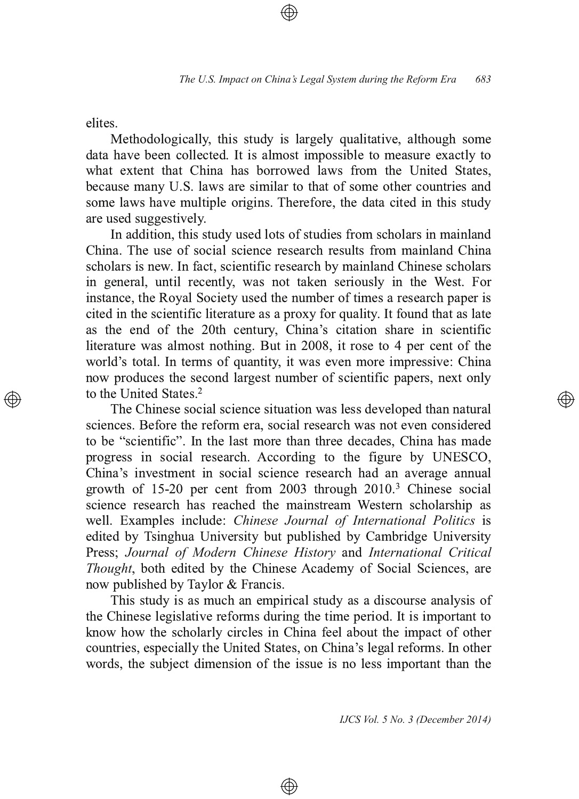elites.

Methodologically, this study is largely qualitative, although some data have been collected. It is almost impossible to measure exactly to what extent that China has borrowed laws from the United States. because many U.S. laws are similar to that of some other countries and some laws have multiple origins. Therefore, the data cited in this study are used suggestively.

In addition, this study used lots of studies from scholars in mainland China. The use of social science research results from mainland China scholars is new. In fact, scientific research by mainland Chinese scholars in general, until recently, was not taken seriously in the West. For instance, the Royal Society used the number of times a research paper is cited in the scientific literature as a proxy for quality. It found that as late as the end of the 20th century, China's citation share in scientific literature was almost nothing. But in 2008, it rose to 4 per cent of the world's total. In terms of quantity, it was even more impressive: China now produces the second largest number of scientific papers, next only to the United States. $2$ 

The Chinese social science situation was less developed than natural sciences. Before the reform era, social research was not even considered to be "scientific". In the last more than three decades, China has made progress in social research. According to the figure by UNESCO, China's investment in social science research had an average annual growth of  $15-20$  per cent from  $2003$  through  $2010<sup>3</sup>$  Chinese social science research has reached the mainstream Western scholarship as well. Examples include: Chinese Journal of International Politics is edited by Tsinghua University but published by Cambridge University &E8FF *Journal of Modern Chinese History* 4A7 *International Critical Thought*, both edited by the Chinese Academy of Social Sciences, are now published by Taylor & Francis.

This study is as much an empirical study as a discourse analysis of the Chinese legislative reforms during the time period. It is important to know how the scholarly circles in China feel about the impact of other countries, especially the United States, on China's legal reforms. In other words, the subject dimension of the issue is no less important than the

⊕

*IJCS Vol. 5 No. 3 (December 2014)*

্⊕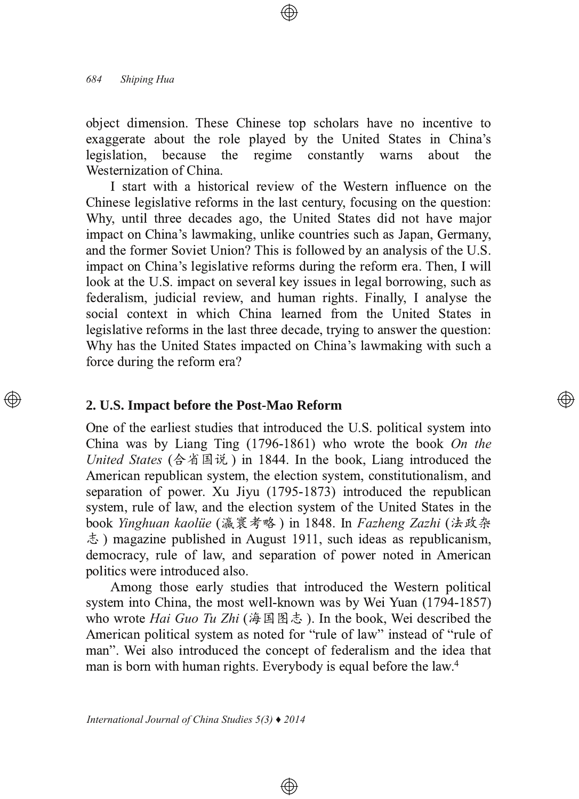object dimension. These Chinese top scholars have no incentive to exaggerate about the role played by the United States in China's legislation. because the regime constantly warns about the Westernization of China.

I start with a historical review of the Western influence on the Chinese legislative reforms in the last century, focusing on the question: Why, until three decades ago, the United States did not have major impact on China's lawmaking, unlike countries such as Japan, Germany, and the former Soviet Union? This is followed by an analysis of the U.S. impact on China's legislative reforms during the reform era. Then, I will look at the U.S. impact on several key issues in legal borrowing, such as federalism, judicial review, and human rights. Finally, I analyse the social context in which China learned from the United States in legislative reforms in the last three decade, trying to answer the question: Why has the United States impacted on China's lawmaking with such a force during the reform era?

### 2. U.S. Impact before the Post-Mao Reform

One of the earliest studies that introduced the U.S. political system into China was by Liang Ting (1796-1861) who wrote the book On the United States (合省国说) in 1844. In the book, Liang introduced the American republican system, the election system, constitutionalism, and separation of power. Xu Jiyu (1795-1873) introduced the republican system, rule of law, and the election system of the United States in the book Yinghuan kaolüe (瀛寰考略) in 1848. In Fazheng Zazhi (法政杂  $\dot{\lesssim}$ ) magazine published in August 1911, such ideas as republicanism, democracy, rule of law, and separation of power noted in American politics were introduced also.

(A))

Among those early studies that introduced the Western political system into China, the most well-known was by Wei Yuan (1794-1857) who wrote *Hai Guo Tu Zhi* (海国图志). In the book, Wei described the American political system as noted for "rule of law" instead of "rule of man". Wei also introduced the concept of federalism and the idea that man is born with human rights. Everybody is equal before the law.<sup>4</sup>

 $\circledast$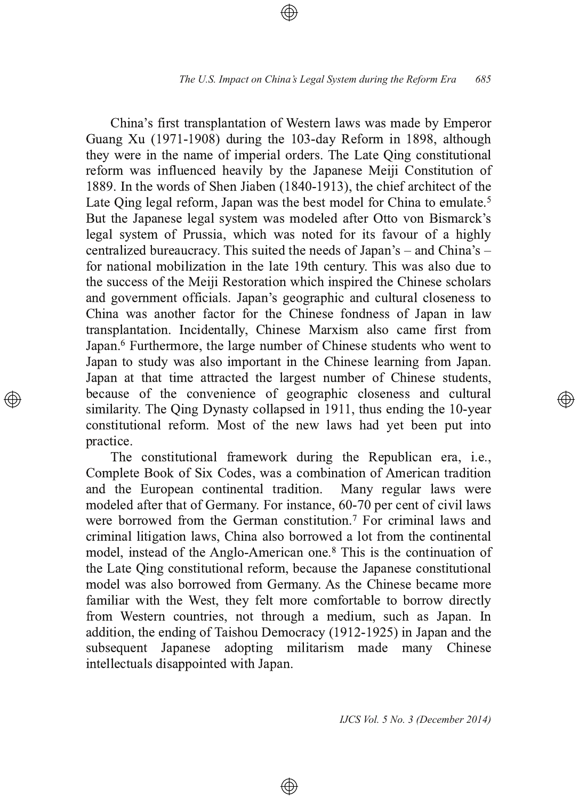China's first transplantation of Western laws was made by Emperor Guang Xu (1971-1908) during the 103-day Reform in 1898, although they were in the name of imperial orders. The Late Oing constitutional reform was influenced heavily by the Japanese Meiji Constitution of 1889. In the words of Shen Jiaben  $(1840-1913)$ , the chief architect of the Late Qing legal reform, Japan was the best model for China to emulate.<sup>5</sup> But the Japanese legal system was modeled after Otto von Bismarck's legal system of Prussia, which was noted for its favour of a highly centralized bureaucracy. This suited the needs of Japan's  $-$  and China's  $$ for national mobilization in the late 19th century. This was also due to the success of the Meiji Restoration which inspired the Chinese scholars and government officials. Japan's geographic and cultural closeness to China was another factor for the Chinese fondness of Japan in law transplantation. Incidentally, Chinese Marxism also came first from Japan.<sup>6</sup> Furthermore, the large number of Chinese students who went to Japan to study was also important in the Chinese learning from Japan. Japan at that time attracted the largest number of Chinese students, because of the convenience of geographic closeness and cultural similarity. The Oing Dynasty collapsed in 1911, thus ending the 10-year constitutional reform. Most of the new laws had yet been put into practice.

The constitutional framework during the Republican era, *i.e.*, Complete Book of Six Codes, was a combination of American tradition and the European continental tradition. Many regular laws were modeled after that of Germany. For instance, 60-70 per cent of civil laws were borrowed from the German constitution.<sup>7</sup> For criminal laws and criminal litigation laws, China also borrowed a lot from the continental model, instead of the Anglo-American one.<sup>8</sup> This is the continuation of the Late Oing constitutional reform, because the Japanese constitutional model was also borrowed from Germany. As the Chinese became more familiar with the West, they felt more comfortable to borrow directly from Western countries, not through a medium, such as Japan. In addition, the ending of Taishou Democracy (1912-1925) in Japan and the subsequent Japanese adopting militarism made many Chinese intellectuals disappointed with Japan.

⊕

*IJCS Vol. 5 No. 3 (December 2014)*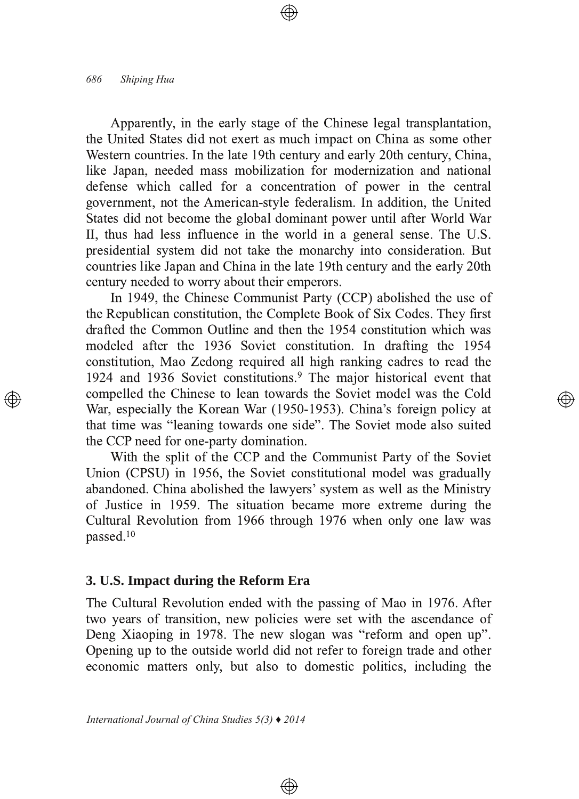Apparently, in the early stage of the Chinese legal transplantation, the United States did not exert as much impact on China as some other Western countries. In the late 19th century and early 20th century, China, like Japan, needed mass mobilization for modernization and national defense which called for a concentration of power in the central government, not the American-style federalism. In addition, the United States did not become the global dominant power until after World War II, thus had less influence in the world in a general sense. The U.S. presidential system did not take the monarchy into consideration. But countries like Japan and China in the late 19th century and the early 20th century needed to worry about their emperors.

In 1949, the Chinese Communist Party (CCP) abolished the use of the Republican constitution, the Complete Book of Six Codes. They first drafted the Common Outline and then the 1954 constitution which was modeled after the 1936 Soviet constitution. In drafting the 1954 constitution, Mao Zedong required all high ranking cadres to read the 1924 and 1936 Soviet constitutions.<sup>9</sup> The major historical event that compelled the Chinese to lean towards the Soviet model was the Cold War, especially the Korean War (1950-1953). China's foreign policy at that time was "leaning towards one side". The Soviet mode also suited the CCP need for one-party domination.

</u>

With the split of the CCP and the Communist Party of the Soviet Union (CPSU) in 1956, the Soviet constitutional model was gradually abandoned. China abolished the lawyers' system as well as the Ministry of Justice in 1959. The situation became more extreme during the Cultural Revolution from 1966 through 1976 when only one law was passed. $^{10}$ 

## **3. U.S. Impact during the Reform Era**

The Cultural Revolution ended with the passing of Mao in 1976. After two years of transition, new policies were set with the ascendance of Deng Xiaoping in 1978. The new slogan was "reform and open up". Opening up to the outside world did not refer to foreign trade and other economic matters only, but also to domestic politics, including the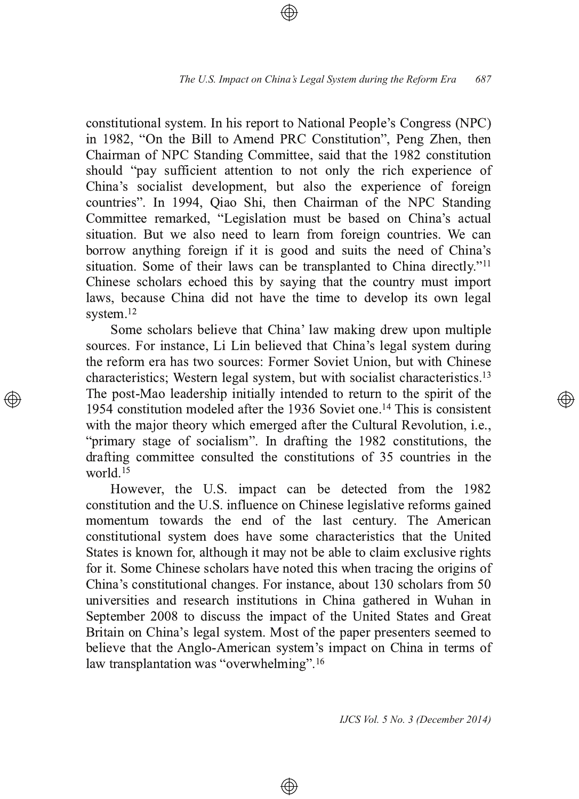constitutional system. In his report to National People's Congress (NPC) in 1982, "On the Bill to Amend PRC Constitution", Peng Zhen, then Chairman of NPC Standing Committee, said that the 1982 constitution should "pay sufficient attention to not only the rich experience of China's socialist development, but also the experience of foreign countries". In 1994, Qiao Shi, then Chairman of the NPC Standing Committee remarked, "Legislation must be based on China's actual situation. But we also need to learn from foreign countries. We can borrow anything foreign if it is good and suits the need of China's situation. Some of their laws can be transplanted to China directly."<sup>11</sup> Chinese scholars echoed this by saying that the country must import laws, because China did not have the time to develop its own legal system.<sup>12</sup>

Some scholars believe that China' law making drew upon multiple sources. For instance, Li Lin believed that China's legal system during the reform era has two sources: Former Soviet Union, but with Chinese characteristics; Western legal system, but with socialist characteristics.<sup>13</sup> The post-Mao leadership initially intended to return to the spirit of the 1954 constitution modeled after the 1936 Soviet one.<sup>14</sup> This is consistent with the major theory which emerged after the Cultural Revolution, *i.e.*, "primary stage of socialism". In drafting the 1982 constitutions, the drafting committee consulted the constitutions of  $35$  countries in the world.<sup>15</sup>

However, the U.S. impact can be detected from the 1982 constitution and the U.S. influence on Chinese legislative reforms gained momentum towards the end of the last century. The American constitutional system does have some characteristics that the United States is known for, although it may not be able to claim exclusive rights for it. Some Chinese scholars have noted this when tracing the origins of China's constitutional changes. For instance, about 130 scholars from 50 universities and research institutions in China gathered in Wuhan in September 2008 to discuss the impact of the United States and Great Britain on China's legal system. Most of the paper presenters seemed to believe that the Anglo-American system's impact on China in terms of law transplantation was "overwhelming".<sup>16</sup>

⊕

*IJCS Vol. 5 No. 3 (December 2014)*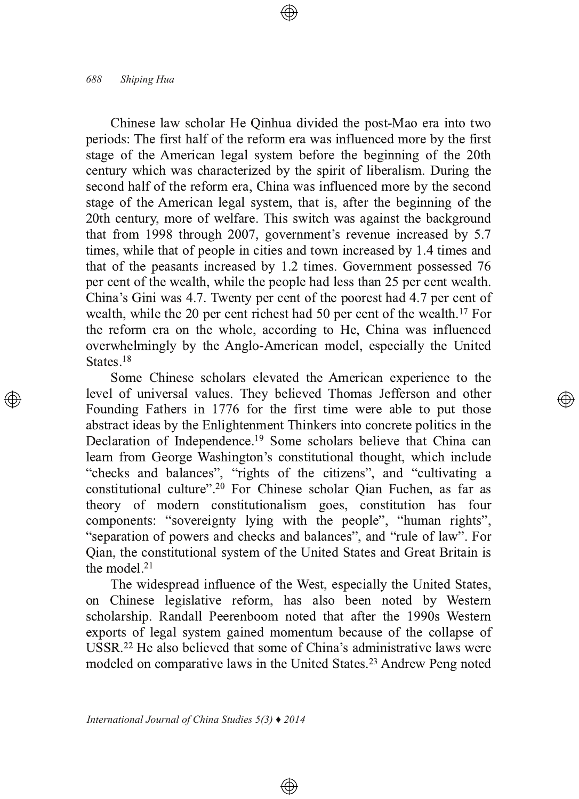Chinese law scholar He Qinhua divided the post-Mao era into two periods: The first half of the reform era was influenced more by the first stage of the American legal system before the beginning of the 20th century which was characterized by the spirit of liberalism. During the second half of the reform era, China was influenced more by the second stage of the American legal system, that is, after the beginning of the 20th century, more of welfare. This switch was against the background that from 1998 through 2007, government's revenue increased by  $5.7$ times, while that of people in cities and town increased by 1.4 times and that of the peasants increased by  $1.2$  times. Government possessed  $76$ per cent of the wealth, while the people had less than 25 per cent wealth. China's Gini was 4.7. Twenty per cent of the poorest had 4.7 per cent of wealth, while the 20 per cent richest had 50 per cent of the wealth.<sup>17</sup> For the reform era on the whole, according to He, China was influenced overwhelmingly by the Anglo-American model, especially the United States. $^{18}$ 

Some Chinese scholars elevated the American experience to the level of universal values. They believed Thomas Jefferson and other Founding Fathers in 1776 for the first time were able to put those abstract ideas by the Enlightenment Thinkers into concrete politics in the Declaration of Independence.<sup>19</sup> Some scholars believe that China can learn from George Washington's constitutional thought, which include "checks and balances", "rights of the citizens", and "cultivating a constitutional culture".<sup>20</sup> For Chinese scholar Qian Fuchen, as far as theory of modern constitutionalism goes, constitution has four components: "sovereignty lying with the people", "human rights", "separation of powers and checks and balances", and "rule of law". For Oian, the constitutional system of the United States and Great Britain is the model. $21$ 

্⊕

The widespread influence of the West, especially the United States, on Chinese legislative reform, has also been noted by Western scholarship. Randall Peerenboom noted that after the 1990s Western exports of legal system gained momentum because of the collapse of USSR.<sup>22</sup> He also believed that some of China's administrative laws were modeled on comparative laws in the United States.<sup>23</sup> Andrew Peng noted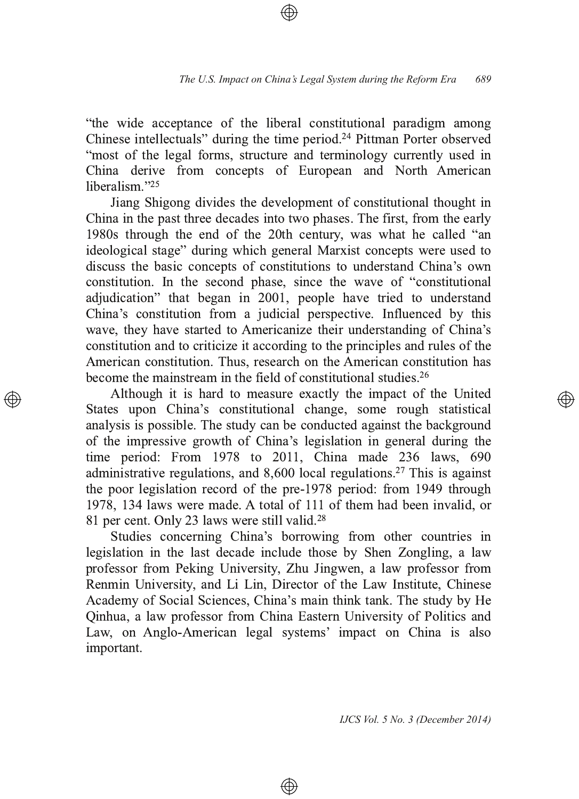"the wide acceptance of the liberal constitutional paradigm among Chinese intellectuals" during the time period.<sup>24</sup> Pittman Porter observed "most of the legal forms, structure and terminology currently used in China derive from concepts of European and North American liberalism."<sup>25</sup>

Jiang Shigong divides the development of constitutional thought in China in the past three decades into two phases. The first, from the early 1980s through the end of the 20th century, was what he called "an ideological stage" during which general Marxist concepts were used to discuss the basic concepts of constitutions to understand China's own constitution. In the second phase, since the wave of "constitutional" adjudication" that began in 2001, people have tried to understand China's constitution from a judicial perspective. Influenced by this wave, they have started to Americanize their understanding of China's constitution and to criticize it according to the principles and rules of the American constitution. Thus, research on the American constitution has become the mainstream in the field of constitutional studies.<sup>26</sup>

Although it is hard to measure exactly the impact of the United States upon China's constitutional change, some rough statistical analysis is possible. The study can be conducted against the background of the impressive growth of China's legislation in general during the time period: From  $1978$  to  $2011$ , China made  $236$  laws,  $690$ administrative regulations, and 8,600 local regulations.<sup>27</sup> This is against the poor legislation record of the pre-1978 period: from 1949 through 1978, 134 laws were made. A total of 111 of them had been invalid, or 81 per cent. Only 23 laws were still valid.<sup>28</sup>

Studies concerning China's borrowing from other countries in legislation in the last decade include those by Shen Zongling, a law professor from Peking University, Zhu Jingwen, a law professor from Renmin University, and Li Lin, Director of the Law Institute, Chinese Academy of Social Sciences, China's main think tank. The study by He Qinhua, a law professor from China Eastern University of Politics and Law, on Anglo-American legal systems' impact on China is also important.

⊕

*IJCS Vol. 5 No. 3 (December 2014)*

্⊕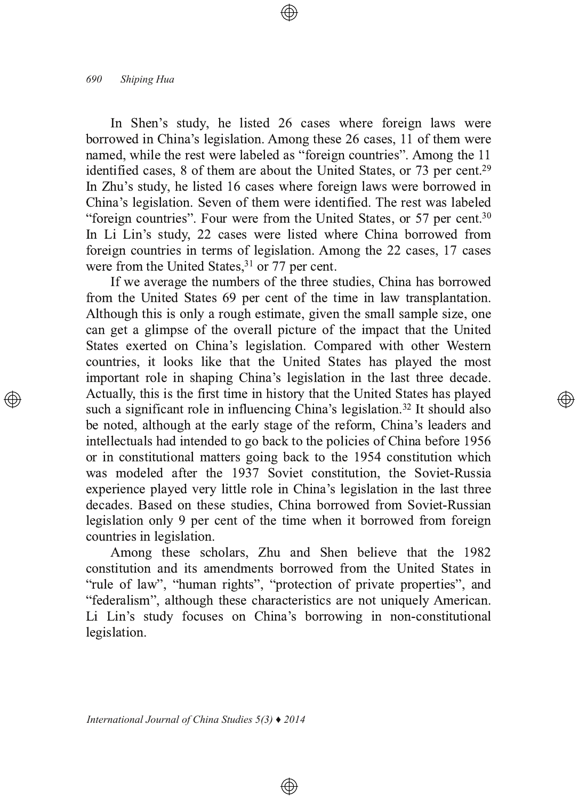In Shen's study, he listed 26 cases where foreign laws were borrowed in China's legislation. Among these 26 cases, 11 of them were named, while the rest were labeled as "foreign countries". Among the 11 identified cases, 8 of them are about the United States, or 73 per cent.<sup>29</sup> In Zhu's study, he listed 16 cases where foreign laws were borrowed in China's legislation. Seven of them were identified. The rest was labeled "foreign countries". Four were from the United States, or 57 per cent.<sup>30</sup> In Li Lin's study, 22 cases were listed where China borrowed from foreign countries in terms of legislation. Among the 22 cases, 17 cases were from the United States, $31$  or 77 per cent.

If we average the numbers of the three studies, China has borrowed from the United States 69 per cent of the time in law transplantation. Although this is only a rough estimate, given the small sample size, one can get a glimpse of the overall picture of the impact that the United States exerted on China's legislation. Compared with other Western countries, it looks like that the United States has played the most important role in shaping China's legislation in the last three decade. Actually, this is the first time in history that the United States has played such a significant role in influencing China's legislation.<sup>32</sup> It should also be noted, although at the early stage of the reform, China's leaders and intellectuals had intended to go back to the policies of China before 1956 or in constitutional matters going back to the 1954 constitution which was modeled after the 1937 Soviet constitution, the Soviet-Russia experience played very little role in China's legislation in the last three decades. Based on these studies, China borrowed from Soviet-Russian legislation only 9 per cent of the time when it borrowed from foreign countries in legislation.

Among these scholars, Zhu and Shen believe that the 1982 constitution and its amendments borrowed from the United States in "rule of law", "human rights", "protection of private properties", and "federalism", although these characteristics are not uniquely American. Li Lin's study focuses on China's borrowing in non-constitutional legislation.

 $\circledast$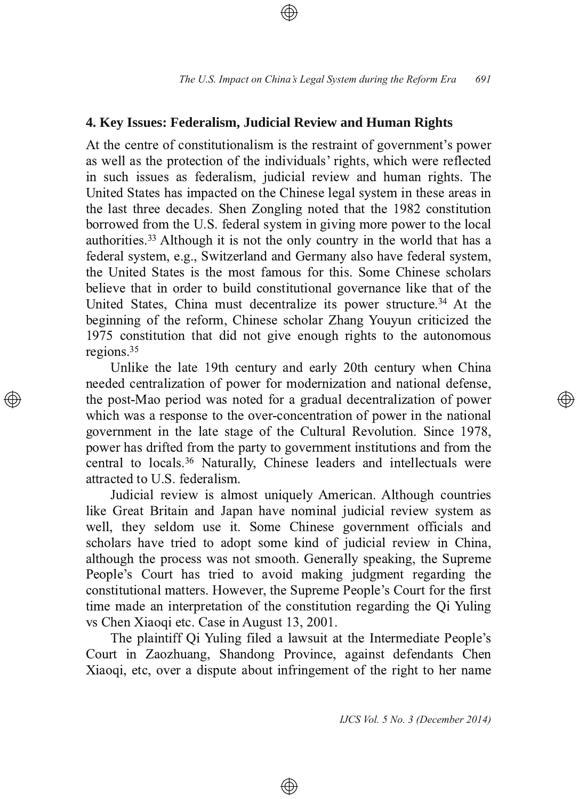# **4. Key Issues: Federalism, Judicial Review and Human Rights**

At the centre of constitutionalism is the restraint of government's power as well as the protection of the individuals' rights, which were reflected in such issues as federalism, judicial review and human rights. The United States has impacted on the Chinese legal system in these areas in the last three decades. Shen Zongling noted that the 1982 constitution borrowed from the U.S. federal system in giving more power to the local authorities.<sup>33</sup> Although it is not the only country in the world that has a federal system, e.g., Switzerland and Germany also have federal system, the United States is the most famous for this. Some Chinese scholars believe that in order to build constitutional governance like that of the United States, China must decentralize its power structure.<sup>34</sup> At the beginning of the reform, Chinese scholar Zhang Youyun criticized the 1975 constitution that did not give enough rights to the autonomous regions. $35$ 

Unlike the late 19th century and early 20th century when China needed centralization of power for modernization and national defense, the post-Mao period was noted for a gradual decentralization of power which was a response to the over-concentration of power in the national government in the late stage of the Cultural Revolution. Since 1978, power has drifted from the party to government institutions and from the central to locals.<sup>36</sup> Naturally, Chinese leaders and intellectuals were attracted to U.S. federalism.

Judicial review is almost uniquely American. Although countries like Great Britain and Japan have nominal judicial review system as well, they seldom use it. Some Chinese government officials and scholars have tried to adopt some kind of judicial review in China, although the process was not smooth. Generally speaking, the Supreme People's Court has tried to avoid making judgment regarding the constitutional matters. However, the Supreme People's Court for the first time made an interpretation of the constitution regarding the Oi Yuling vs Chen Xiaoqi etc. Case in August 13, 2001.

The plaintiff Qi Yuling filed a lawsuit at the Intermediate People's Court in Zaozhuang, Shandong Province, against defendants Chen Xiaoqi, etc, over a dispute about infringement of the right to her name

⊕

*IJCS Vol. 5 No. 3 (December 2014)*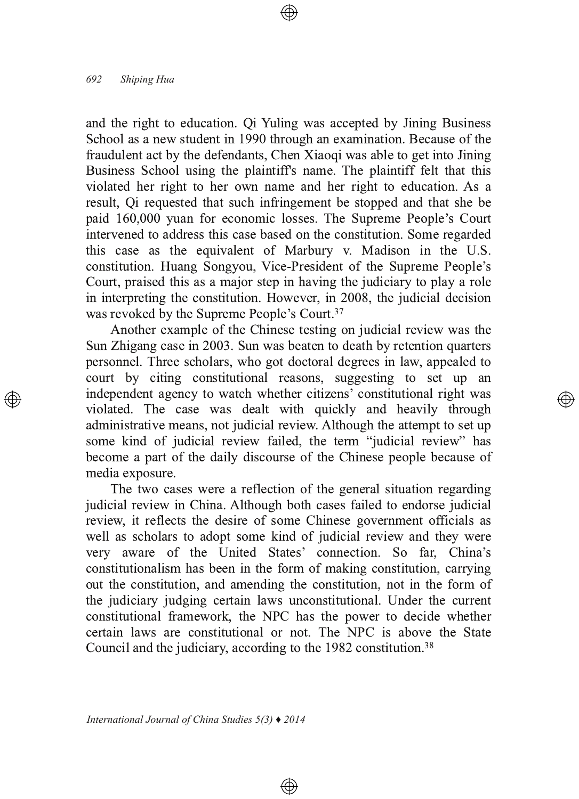and the right to education. Qi Yuling was accepted by Jining Business School as a new student in 1990 through an examination. Because of the fraudulent act by the defendants, Chen Xiaoqi was able to get into Jining Business School using the plaintiff's name. The plaintiff felt that this violated her right to her own name and her right to education. As a result, Qi requested that such infringement be stopped and that she be paid 160,000 yuan for economic losses. The Supreme People's Court intervened to address this case based on the constitution. Some regarded this case as the equivalent of Marbury v. Madison in the U.S. constitution. Huang Songyou, Vice-President of the Supreme People's Court, praised this as a major step in having the judiciary to play a role in interpreting the constitution. However, in 2008, the judicial decision was revoked by the Supreme People's Court.<sup>37</sup>

Another example of the Chinese testing on judicial review was the Sun Zhigang case in 2003. Sun was beaten to death by retention quarters personnel. Three scholars, who got doctoral degrees in law, appealed to court by citing constitutional reasons, suggesting to set up an independent agency to watch whether citizens' constitutional right was violated. The case was dealt with quickly and heavily through administrative means, not judicial review. Although the attempt to set up some kind of judicial review failed, the term "judicial review" has become a part of the daily discourse of the Chinese people because of media exposure.

The two cases were a reflection of the general situation regarding judicial review in China. Although both cases failed to endorse judicial review, it reflects the desire of some Chinese government officials as well as scholars to adopt some kind of judicial review and they were very aware of the United States' connection. So far, China's constitutionalism has been in the form of making constitution, carrying out the constitution, and amending the constitution, not in the form of the judiciary judging certain laws unconstitutional. Under the current constitutional framework, the NPC has the power to decide whether certain laws are constitutional or not. The NPC is above the State Council and the judiciary, according to the 1982 constitution.<sup>38</sup>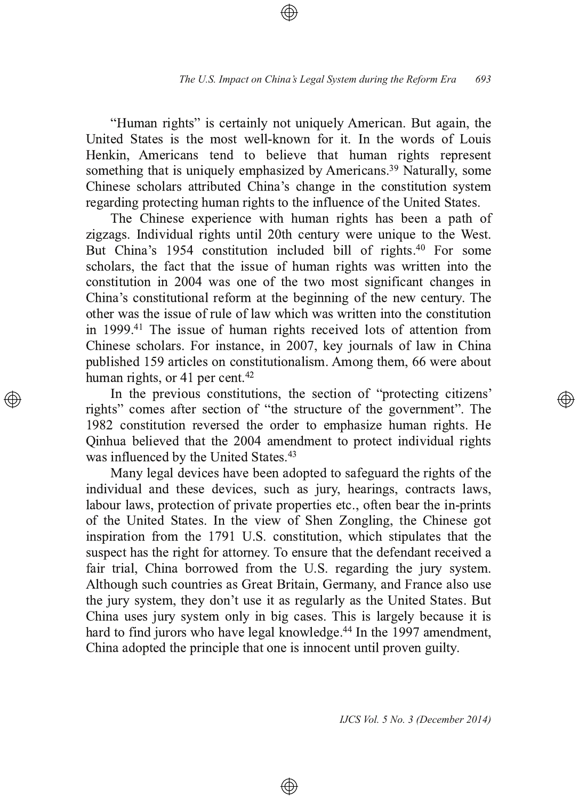"Human rights" is certainly not uniquely American. But again, the United States is the most well-known for it. In the words of Louis Henkin, Americans tend to believe that human rights represent something that is uniquely emphasized by Americans.<sup>39</sup> Naturally, some Chinese scholars attributed China's change in the constitution system regarding protecting human rights to the influence of the United States.

The Chinese experience with human rights has been a path of zigzags. Individual rights until 20th century were unique to the West. But China's 1954 constitution included bill of rights.<sup>40</sup> For some scholars, the fact that the issue of human rights was written into the constitution in 2004 was one of the two most significant changes in China's constitutional reform at the beginning of the new century. The other was the issue of rule of law which was written into the constitution in 1999.<sup>41</sup> The issue of human rights received lots of attention from Chinese scholars. For instance, in 2007, key journals of law in China published 159 articles on constitutionalism. Among them, 66 were about human rights, or 41 per cent.<sup>42</sup>

In the previous constitutions, the section of "protecting citizens" rights" comes after section of "the structure of the government". The 1982 constitution reversed the order to emphasize human rights. He Qinhua believed that the 2004 amendment to protect individual rights was influenced by the United States.<sup>43</sup>

Many legal devices have been adopted to safeguard the rights of the individual and these devices, such as jury, hearings, contracts laws, labour laws, protection of private properties etc., often bear the in-prints of the United States. In the view of Shen Zongling, the Chinese got inspiration from the 1791 U.S. constitution, which stipulates that the suspect has the right for attorney. To ensure that the defendant received a fair trial, China borrowed from the U.S. regarding the jury system. Although such countries as Great Britain, Germany, and France also use the jury system, they don't use it as regularly as the United States. But China uses jury system only in big cases. This is largely because it is hard to find jurors who have legal knowledge.<sup>44</sup> In the 1997 amendment, China adopted the principle that one is innocent until proven guilty.

⊕

*IJCS Vol. 5 No. 3 (December 2014)*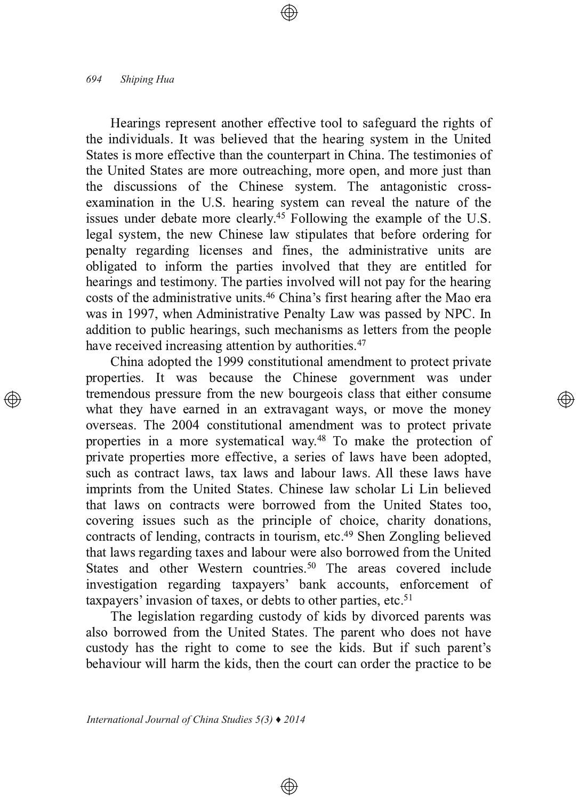Hearings represent another effective tool to safeguard the rights of the individuals. It was believed that the hearing system in the United States is more effective than the counterpart in China. The testimonies of the United States are more outreaching, more open, and more just than the discussions of the Chinese system. The antagonistic crossexamination in the U.S. hearing system can reveal the nature of the issues under debate more clearly.<sup>45</sup> Following the example of the U.S. legal system, the new Chinese law stipulates that before ordering for penalty regarding licenses and fines, the administrative units are obligated to inform the parties involved that they are entitled for hearings and testimony. The parties involved will not pay for the hearing costs of the administrative units.<sup>46</sup> China's first hearing after the Mao era was in 1997, when Administrative Penalty Law was passed by NPC. In addition to public hearings, such mechanisms as letters from the people have received increasing attention by authorities.<sup>47</sup>

China adopted the 1999 constitutional amendment to protect private properties. It was because the Chinese government was under tremendous pressure from the new bourgeois class that either consume what they have earned in an extravagant ways, or move the money overseas. The 2004 constitutional amendment was to protect private properties in a more systematical way.<sup>48</sup> To make the protection of private properties more effective, a series of laws have been adopted, such as contract laws, tax laws and labour laws. All these laws have imprints from the United States. Chinese law scholar Li Lin believed that laws on contracts were borrowed from the United States too, covering issues such as the principle of choice, charity donations, contracts of lending, contracts in tourism, etc.<sup>49</sup> Shen Zongling believed that laws regarding taxes and labour were also borrowed from the United States and other Western countries.<sup>50</sup> The areas covered include investigation regarding taxpayers' bank accounts, enforcement of taxpayers' invasion of taxes, or debts to other parties, etc.<sup>51</sup>

The legislation regarding custody of kids by divorced parents was also borrowed from the United States. The parent who does not have custody has the right to come to see the kids. But if such parent's behaviour will harm the kids, then the court can order the practice to be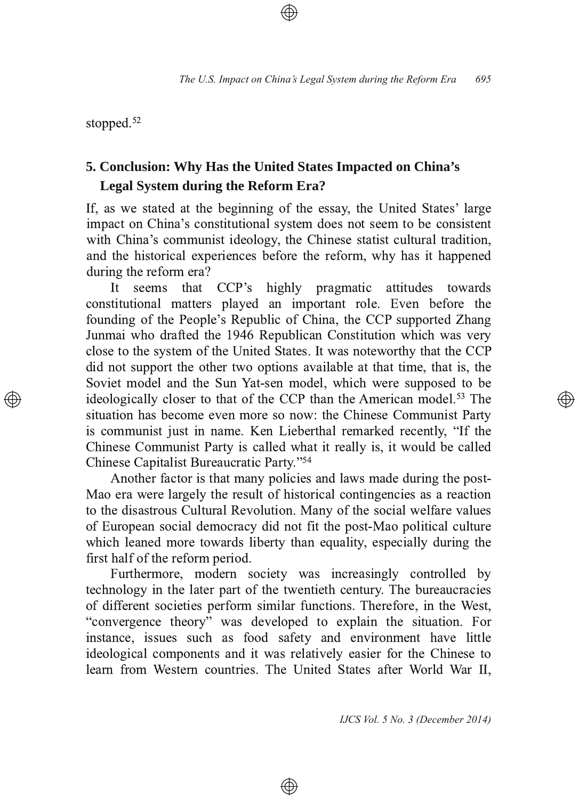stopped.<sup>52</sup>

# **5. Conclusion: Why Has the United States Impacted on China's Legal System during the Reform Era?**

If, as we stated at the beginning of the essay, the United States' large impact on China's constitutional system does not seem to be consistent with China's communist ideology, the Chinese statist cultural tradition, and the historical experiences before the reform, why has it happened during the reform era?

It seems that CCP's highly pragmatic attitudes towards constitutional matters played an important role. Even before the founding of the People's Republic of China, the CCP supported Zhang Junmai who drafted the 1946 Republican Constitution which was very close to the system of the United States. It was noteworthy that the CCP did not support the other two options available at that time, that is, the Soviet model and the Sun Yat-sen model, which were supposed to be ideologically closer to that of the CCP than the American model.<sup>53</sup> The situation has become even more so now: the Chinese Communist Party is communist just in name. Ken Lieberthal remarked recently, "If the Chinese Communist Party is called what it really is, it would be called Chinese Capitalist Bureaucratic Party."<sup>54</sup>

Another factor is that many policies and laws made during the post-Mao era were largely the result of historical contingencies as a reaction to the disastrous Cultural Revolution. Many of the social welfare values of European social democracy did not fit the post-Mao political culture which leaned more towards liberty than equality, especially during the first half of the reform period.

Furthermore, modern society was increasingly controlled by technology in the later part of the twentieth century. The bureaucracies of different societies perform similar functions. Therefore, in the West, "convergence theory" was developed to explain the situation. For instance, issues such as food safety and environment have little ideological components and it was relatively easier for the Chinese to learn from Western countries. The United States after World War II,

⊕

*IJCS Vol. 5 No. 3 (December 2014)*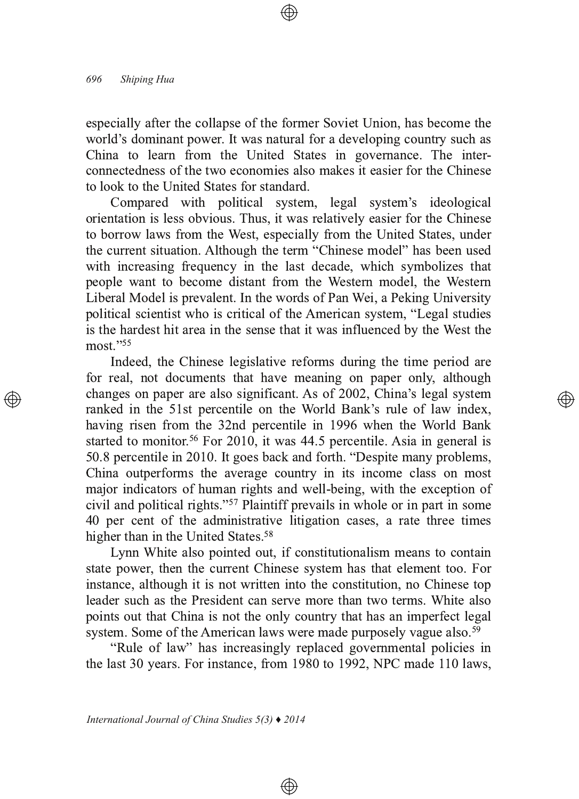especially after the collapse of the former Soviet Union, has become the world's dominant power. It was natural for a developing country such as China to learn from the United States in governance. The interconnectedness of the two economies also makes it easier for the Chinese to look to the United States for standard.

Compared with political system, legal system's ideological orientation is less obvious. Thus, it was relatively easier for the Chinese to borrow laws from the West, especially from the United States, under the current situation. Although the term "Chinese model" has been used with increasing frequency in the last decade, which symbolizes that people want to become distant from the Western model, the Western Liberal Model is prevalent. In the words of Pan Wei, a Peking University political scientist who is critical of the American system, "Legal studies is the hardest hit area in the sense that it was influenced by the West the  $most.^{"55}$ 

Indeed, the Chinese legislative reforms during the time period are for real, not documents that have meaning on paper only, although changes on paper are also significant. As of 2002, China's legal system ranked in the 51st percentile on the World Bank's rule of law index, having risen from the 32nd percentile in 1996 when the World Bank started to monitor.<sup>56</sup> For 2010, it was 44.5 percentile. Asia in general is 50.8 percentile in 2010. It goes back and forth. "Despite many problems, China outperforms the average country in its income class on most major indicators of human rights and well-being, with the exception of civil and political rights."<sup>57</sup> Plaintiff prevails in whole or in part in some 40 per cent of the administrative litigation cases, a rate three times higher than in the United States.<sup>58</sup>

Lynn White also pointed out, if constitutionalism means to contain state power, then the current Chinese system has that element too. For instance, although it is not written into the constitution, no Chinese top leader such as the President can serve more than two terms. White also points out that China is not the only country that has an imperfect legal system. Some of the American laws were made purposely vague also.<sup>59</sup>

"Rule of law" has increasingly replaced governmental policies in the last 30 years. For instance, from  $1980$  to  $1992$ , NPC made  $110$  laws,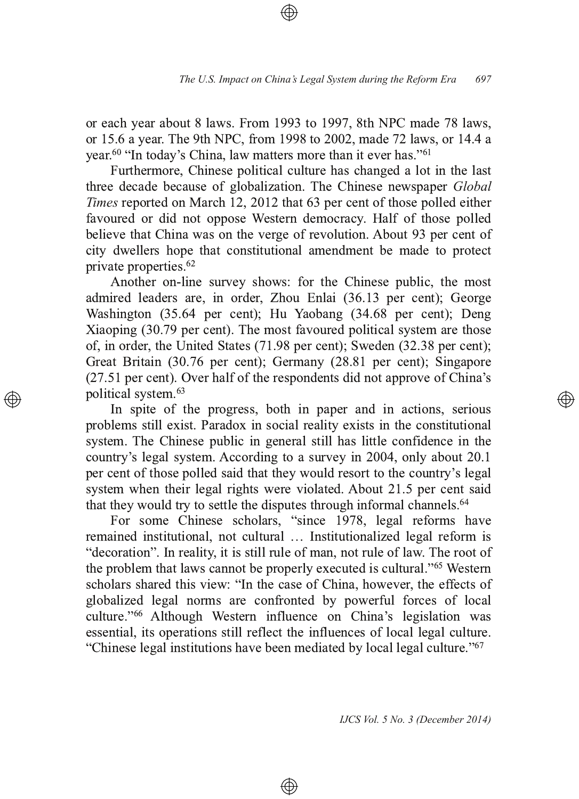or each year about 8 laws. From 1993 to 1997, 8th NPC made 78 laws, or 15.6 a year. The 9th NPC, from 1998 to 2002, made 72 laws, or 14.4 a year.<sup>60</sup> "In today's China, law matters more than it ever has."<sup>61</sup>

Furthermore, Chinese political culture has changed a lot in the last three decade because of globalization. The Chinese newspaper *Global* Times reported on March 12, 2012 that 63 per cent of those polled either favoured or did not oppose Western democracy. Half of those polled believe that China was on the verge of revolution. About 93 per cent of city dwellers hope that constitutional amendment be made to protect private properties.<sup>62</sup>

Another on-line survey shows: for the Chinese public, the most admired leaders are, in order, Zhou Enlai (36.13 per cent); George Washington (35.64 per cent); Hu Yaobang (34.68 per cent); Deng Xiaoping (30.79 per cent). The most favoured political system are those of, in order, the United States  $(71.98$  per cent); Sweden  $(32.38$  per cent); Great Britain (30.76 per cent); Germany (28.81 per cent); Singapore  $(27.51$  per cent). Over half of the respondents did not approve of China's political system.<sup>63</sup>

In spite of the progress, both in paper and in actions, serious problems still exist. Paradox in social reality exists in the constitutional system. The Chinese public in general still has little confidence in the country's legal system. According to a survey in 2004, only about 20.1 per cent of those polled said that they would resort to the country's legal system when their legal rights were violated. About 21.5 per cent said that they would try to settle the disputes through informal channels.<sup>64</sup>

For some Chinese scholars, "since 1978, legal reforms have remained institutional, not cultural ... Institutionalized legal reform is "decoration". In reality, it is still rule of man, not rule of law. The root of the problem that laws cannot be properly executed is cultural."<sup>65</sup> Western scholars shared this view: "In the case of China, however, the effects of globalized legal norms are confronted by powerful forces of local culture."<sup>66</sup> Although Western influence on China's legislation was essential, its operations still reflect the influences of local legal culture. "Chinese legal institutions have been mediated by local legal culture."<sup>67</sup>

⊕

*IJCS Vol. 5 No. 3 (December 2014)*

্⊕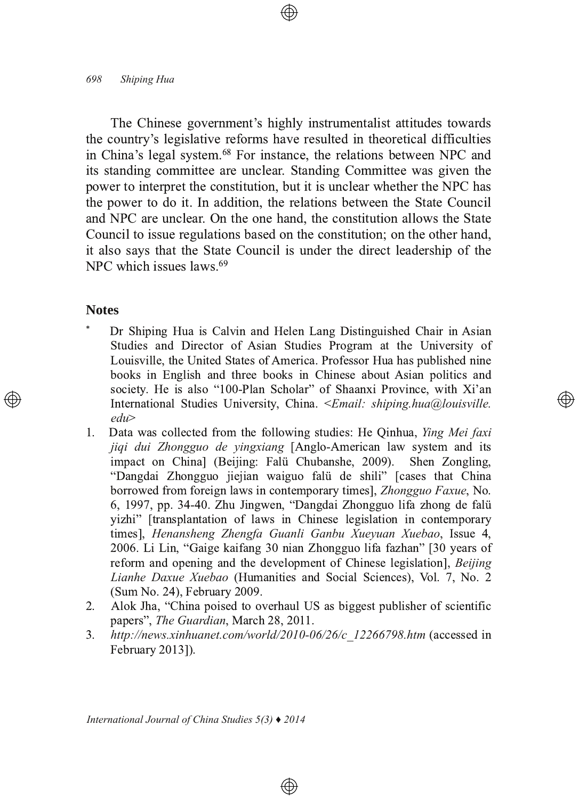The Chinese government's highly instrumentalist attitudes towards the country's legislative reforms have resulted in theoretical difficulties in China's legal system.<sup>68</sup> For instance, the relations between NPC and its standing committee are unclear. Standing Committee was given the power to interpret the constitution, but it is unclear whether the NPC has the power to do it. In addition, the relations between the State Council and NPC are unclear. On the one hand, the constitution allows the State Council to issue regulations based on the constitution; on the other hand, it also says that the State Council is under the direct leadership of the NPC which issues  $laws.<sup>69</sup>$ 

## **Notes**

 $\ast$ Dr Shiping Hua is Calvin and Helen Lang Distinguished Chair in Asian Studies and Director of Asian Studies Program at the University of Louisville, the United States of America. Professor Hua has published nine books in English and three books in Chinese about Asian politics and society. He is also "100-Plan Scholar" of Shaanxi Province, with Xi'an International Studies University, China. <*Email: shiping.hua@louisville.*  $edu$ 

্⊕

- $1<sup>1</sup>$ Data was collected from the following studies: He Oinhua, *Ying Mei faxi* jiqi dui Zhongguo de yingxiang [Anglo-American law system and its impact on China] (Beijing: Falü Chubanshe, 2009). Shen Zongling, "Dangdai Zhongguo jiejian waiguo falu de shili" [cases that China borrowed from foreign laws in contemporary times], Zhongguo Faxue, No. 6, 1997, pp. 34-40. Zhu Jingwen, "Dangdai Zhongguo lifa zhong de falü vizhi" [transplantation of laws in Chinese legislation in contemporary times], Henansheng Zhengfa Guanli Ganbu Xueyuan Xuebao, Issue 4, 2006. Li Lin, "Gaige kaifang 30 nian Zhongguo lifa fazhan" [30 years of reform and opening and the development of Chinese legislation], Beijing Lianhe Daxue Xuebao (Humanities and Social Sciences), Vol. 7, No. 2 (Sum No. 24), February 2009.
- 2. Alok Jha, "China poised to overhaul US as biggest publisher of scientific papers", The Guardian, March 28, 2011.
- http://news.xinhuanet.com/world/2010-06/26/c 12266798.htm (accessed in 3. February 20131).

 $\bigoplus$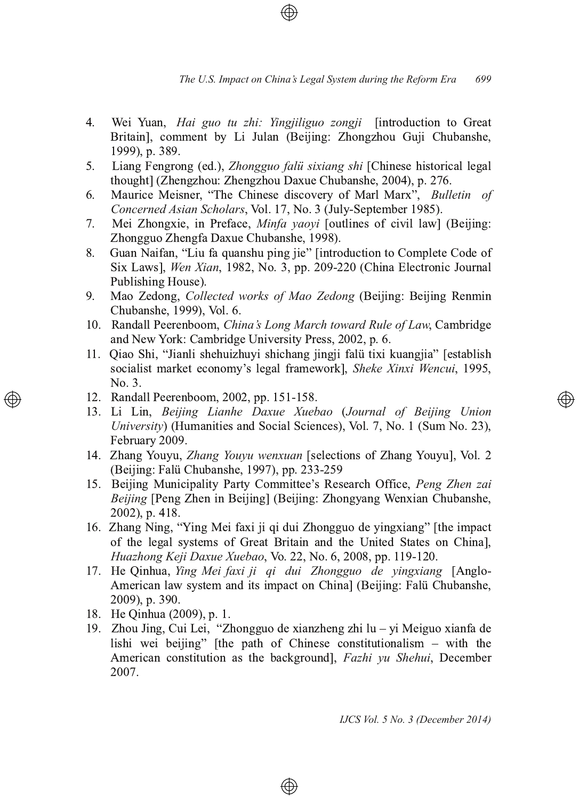- $4<sub>1</sub>$ Wei Yuan, *Hai guo tu zhi: Yingjiliguo zongji* [introduction to Great] Britain], comment by Li Julan (Beijing: Zhongzhou Guji Chubanshe, 1999), p. 389.
- Liang Fengrong (ed.), Zhongguo falü sixiang shi [Chinese historical legal]  $5<sub>1</sub>$ thought] (Zhengzhou: Zhengzhou Daxue Chubanshe, 2004), p. 276.
- Maurice Meisner, "The Chinese discovery of Marl Marx", Bulletin of 6. Concerned Asian Scholars, Vol. 17, No. 3 (July-September 1985).
- Mei Zhongxie, in Preface, Minfa yaoyi [outlines of civil law] (Beijing:  $7.$ Zhongguo Zhengfa Daxue Chubanshe, 1998).
- $8<sub>1</sub>$ Guan Naifan, "Liu fa quanshu ping jie" [introduction to Complete Code of Six Laws], Wen Xian, 1982, No. 3, pp. 209-220 (China Electronic Journal Publishing House).
- 9. Mao Zedong, *Collected works of Mao Zedong* (Beijing: Beijing Renmin Chubanshe, 1999), Vol. 6.
- 10. Randall Peerenboom, China's Long March toward Rule of Law, Cambridge and New York: Cambridge University Press, 2002, p. 6.
- 11. Qiao Shi, "Jianli shehuizhuyi shichang jingji falü tixi kuangjia" [establish] socialist market economy's legal framework], Sheke Xinxi Wencui, 1995, No. 3.
- 12. Randall Peerenboom, 2002, pp. 151-158.
- 13. Li Lin, Beijing Lianhe Daxue Xuebao (Journal of Beijing Union University) (Humanities and Social Sciences), Vol. 7, No. 1 (Sum No. 23), February 2009.
- 14. Zhang Youyu, Zhang Youyu wenxuan [selections of Zhang Youyu], Vol. 2 (Beijing: Falü Chubanshe, 1997), pp. 233-259
- 15. Beijing Municipality Party Committee's Research Office, Peng Zhen zai Beijing [Peng Zhen in Beijing] (Beijing: Zhongyang Wenxian Chubanshe, 2002), p. 418.
- 16. Zhang Ning, "Ying Mei faxi ji qi dui Zhongguo de yingxiang" [the impact of the legal systems of Great Britain and the United States on Chinal, Huazhong Keji Daxue Xuebao, Vo. 22, No. 6, 2008, pp. 119-120.
- 17. He Qinhua, Ying Mei faxi ji qi dui Zhongguo de vingxiang [Anglo-American law system and its impact on China] (Beijing: Falü Chubanshe, 2009), p. 390.
- 18. He Qinhua (2009), p. 1.
- 19. Zhou Jing, Cui Lei, "Zhongguo de xianzheng zhi lu yi Meiguo xianfa de lishi wei beijing" [the path of Chinese constitutionalism - with the American constitution as the background], Fazhi vu Shehui, December 2007.

⊕

IJCS Vol. 5 No. 3 (December 2014)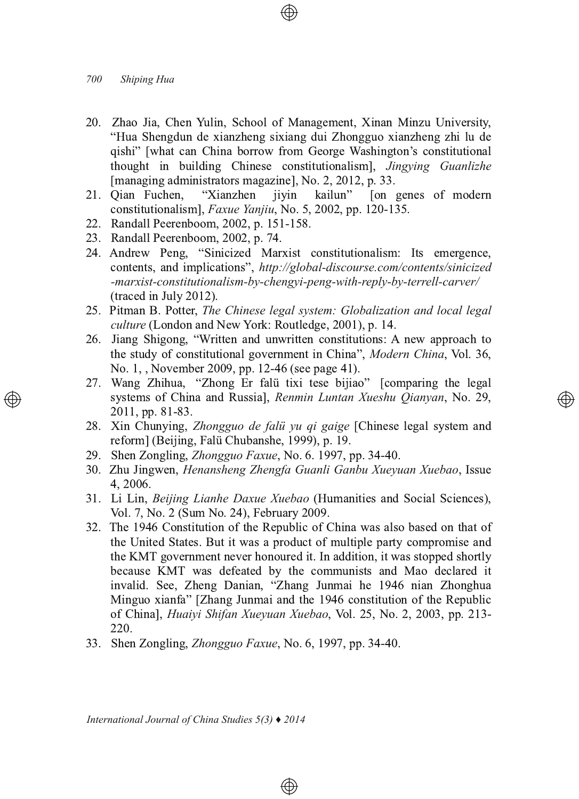- 20. Zhao Jia, Chen Yulin, School of Management, Xinan Minzu University, "Hua Shengdun de xianzheng sixiang dui Zhongguo xianzheng zhi lu de qishi" [what can China borrow from George Washington's constitutional thought in building Chinese constitutionalism], Jingying Guanlizhe [managing administrators magazine], No. 2, 2012, p. 33.
- 21. Oian Fuchen, "Xianzhen jiyin kailun" [on genes of modern] constitutionalism], Faxue Yanjiu, No. 5, 2002, pp. 120-135.
- 22. Randall Peerenboom, 2002, p. 151-158.
- 23. Randall Peerenboom, 2002, p. 74.
- 24. Andrew Peng, "Sinicized Marxist constitutionalism: Its emergence, contents, and implications", http://global-discourse.com/contents/sinicized -marxist-constitutionalism-by-chengyi-peng-with-reply-by-terrell-carver/ (traced in July 2012).
- 25. Pitman B. Potter, The Chinese legal system: Globalization and local legal culture (London and New York: Routledge, 2001), p. 14.
- 26. Jiang Shigong, "Written and unwritten constitutions: A new approach to the study of constitutional government in China", Modern China, Vol. 36, No. 1, , November 2009, pp. 12-46 (see page 41).
- 27. Wang Zhihua, "Zhong Er falü tixi tese bijiao" [comparing the legal systems of China and Russia], Renmin Luntan Xueshu Qianyan, No. 29, 2011, pp. 81-83.

- 28. Xin Chunying, Zhongguo de falü yu qi gaige [Chinese legal system and reform] (Beijing, Falü Chubanshe, 1999), p. 19.
- 29. Shen Zongling, Zhongguo Faxue, No. 6. 1997, pp. 34-40.
- 30. Zhu Jingwen, Henansheng Zhengfa Guanli Ganbu Xueyuan Xuebao, Issue 4.2006.
- 31. Li Lin, Beijing Lianhe Daxue Xuebao (Humanities and Social Sciences), Vol. 7, No. 2 (Sum No. 24), February 2009.
- 32. The 1946 Constitution of the Republic of China was also based on that of the United States. But it was a product of multiple party compromise and the KMT government never honoured it. In addition, it was stopped shortly because KMT was defeated by the communists and Mao declared it invalid. See, Zheng Danian, "Zhang Junmai he 1946 nian Zhonghua Minguo xianfa" [Zhang Junmai and the 1946 constitution of the Republic of China], *Huaivi Shifan Xuevuan Xuebao*, Vol. 25, No. 2, 2003, pp. 213-220.

 $\bigoplus$ 

33. Shen Zongling, Zhongguo Faxue, No. 6, 1997, pp. 34-40.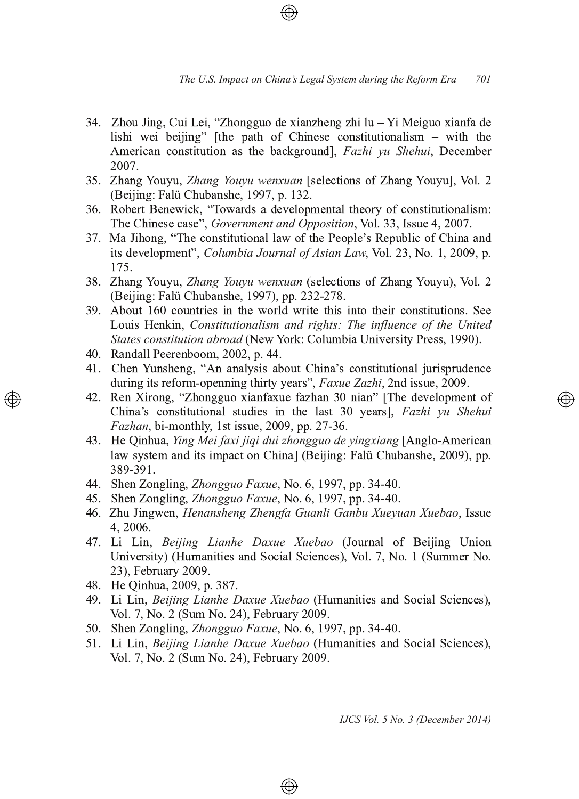- 34. Zhou Jing, Cui Lei, "Zhongguo de xianzheng zhi lu  $-$  Yi Meiguo xianfa de lishi wei beijing" [the path of Chinese constitutionalism  $-$  with the American constitution as the background], *Fazhi vu Shehui*, December 2007.
- 35. Zhang Youyu, Zhang Youyu wenxuan [selections of Zhang Youyu], Vol. 2 (Beijing: Falü Chubanshe, 1997, p. 132 .
- 36. Robert Benewick, "Towards a developmental theory of constitutionalism: The Chinese case", *Government and Opposition*, Vol. 33, Issue 4, 2007.
- 37. Ma Jihong, "The constitutional law of the People's Republic of China and its development", *Columbia Journal of Asian Law*, Vol. 23, No. 1, 2009, p. 175.
- 38. Zhang Youyu, Zhang Youyu wenxuan (selections of Zhang Youyu), Vol. 2 (Beijing: Falü Chubanshe, 1997), pp. 232-278.
- 59. About 160 countries in the world write this into their constitutions. See Louis Henkin, *Constitutionalism and rights: The influence of the United* States constitution abroad (New York: Columbia University Press, 1990).
- 40. Randall Peerenboom, 2002, p. 44.
- 41. Chen Yunsheng, "An analysis about China's constitutional jurisprudence during its reform-openning thirty years", Faxue Zazhi, 2nd issue, 2009.
- 42. Ren Xirong, "Zhongguo xianfaxue fazhan 30 nian" [The development of China's constitutional studies in the last 30 years], Fazhi yu Shehui *Fazhan*, bi-monthly, 1st issue, 2009, pp. 27-36.
- 8 13. He Oinhua, *Ying Mei faxi jigi dui zhongguo de vingxiang* [Anglo-American] law system and its impact on China] (Beijing: Falü Chubanshe, 2009), pp. 389-391.
- 44. Shen Zongling, *Zhongguo Faxue*, No. 6, 1997, pp. 34-40.
- 45. Shen Zongling, *Zhongguo Faxue*, No. 6, 1997, pp. 34-40.
- 16. Zhu Jingwen, *Henansheng Zhengfa Guanli Ganbu Xueyuan Xuebao*, Issue 4, 2006.
- 47. Li Lin, Beijing Lianhe Daxue Xuebao (Journal of Beijing Union University) (Humanities and Social Sciences), Vol. 7, No. 1 (Summer No. 23), February 2009.
- 48. He Qinhua, 2009, p. 387.
- 49. Li Lin, Beijing Lianhe Daxue Xuebao (Humanities and Social Sciences), Vol. 7, No. 2 (Sum No. 24), February 2009.
- 50. Shen Zongling, *Zhongguo Faxue*, No. 6, 1997, pp. 34-40.
- 51. Li Lin, Beijing Lianhe Daxue Xuebao (Humanities and Social Sciences), Vol. 7, No. 2 (Sum No. 24), February 2009.

⊕

*IJCS Vol. 5 No. 3 (December 2014)*

</u>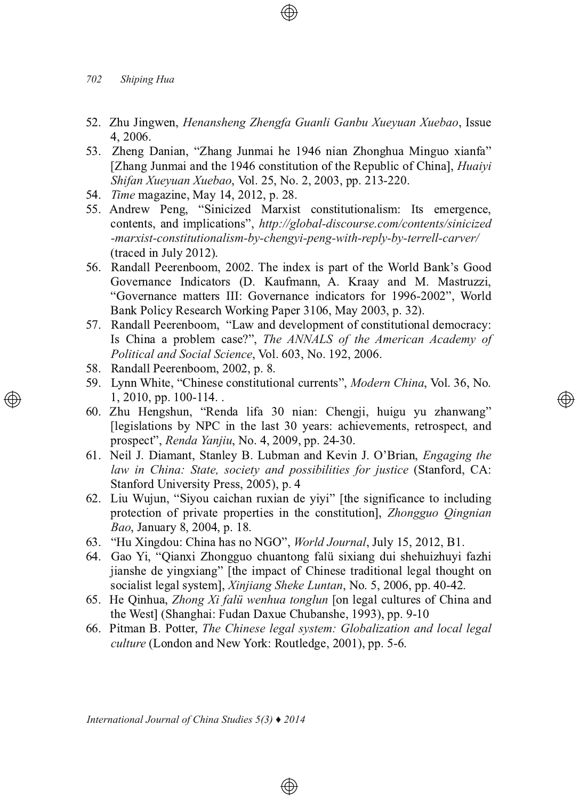- 52. Zhu Jingwen, Henansheng Zhengfa Guanli Ganbu Xueyuan Xuebao, Issue 4, 2006.
- 53. Zheng Danian, "Zhang Junmai he 1946 nian Zhonghua Minguo xianfa" [Zhang Junmai and the 1946 constitution of the Republic of China], *Huaiyi Shifan Xueyuan Xuebao, Vol. 25, No. 2, 2003, pp. 213-220.*
- 54. Time magazine, May 14, 2012, p. 28.
- 55. Andrew Peng, "Sinicized Marxist constitutionalism: Its emergence, contents, and implications", http://global-discourse.com/contents/sinicized -marxist-constitutionalism-by-chengyi-peng-with-reply-by-terrell-carver/  $($ traced in July 2012 $)$ .
- 56. Randall Peerenboom, 2002. The index is part of the World Bank's Good Governance Indicators (D. Kaufmann, A. Kraay and M. Mastruzzi, "Governance matters III: Governance indicators for 1996-2002", World Bank Policy Research Working Paper 3106, May 2003, p. 32).
- 57. Randall Peerenboom, "Law and development of constitutional democracy: Is China a problem case?", The ANNALS of the American Academy of *Political and Social Science, Vol. 603, No. 192, 2006.*
- 58. Randall Peerenboom, 2002, p. 8.
- 59. Lynn White, "Chinese constitutional currents", *Modern China*, Vol. 36, No.  $1, 2010, pp. 100-114.$

</u>

- 60. Zhu Hengshun, "Renda lifa 30 nian: Chengji, huigu yu zhanwang" [legislations by NPC in the last 30 years: achievements, retrospect, and prospect", Renda Yanjiu, No. 4, 2009, pp. 24-30.
- 61. Neil J. Diamant, Stanley B. Lubman and Kevin J. O'Brian, *Engaging the law in China: State, society and possibilities for justice* (Stanford, CA: Stanford University Press, 2005), p. 4
- 62. Liu Wujun, "Siyou caichan ruxian de yiyi" [the significance to including protection of private properties in the constitution], Zhongguo *Qingnian* Bao, January 8, 2004, p. 18.
- 63. "Hu Xingdou: China has no NGO", World Journal, July 15, 2012, B1.
- 64. Gao Yi, "Qianxi Zhongguo chuantong falü sixiang dui shehuizhuyi fazhi ijanshe de yingxiang" [the impact of Chinese traditional legal thought on socialist legal system], Xinjiang Sheke Luntan, No. 5, 2006, pp. 40-42 .
- 65. He Qinhua, *Zhong Xi falü wenhua tonglun* [on legal cultures of China and the West] (Shanghai: Fudan Daxue Chubanshe, 1993), pp. 9-10
- &<G@4A &BGG8E *The Chinese legal system: Globalization and local legal* culture (London and New York: Routledge, 2001), pp. 5-6.

 $\bigoplus$ 

*International Journal of China Studies 5(3) ♦ 2014*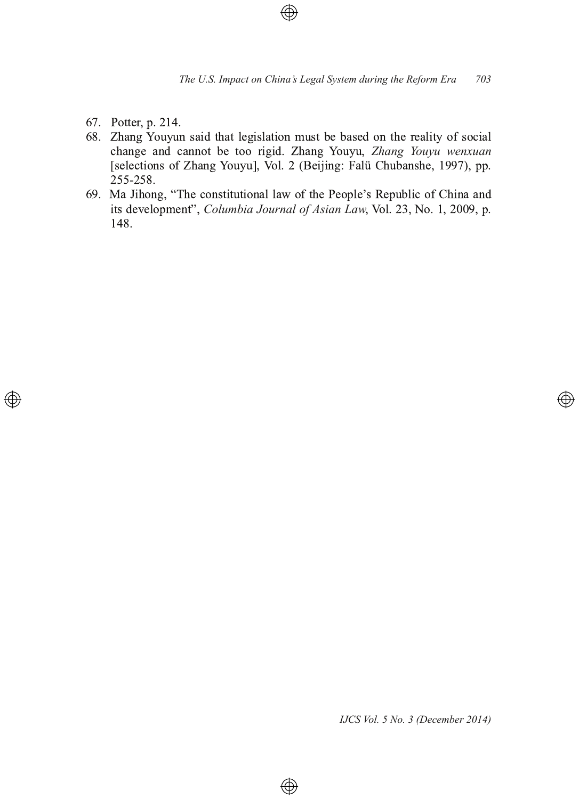- 67. Potter, p. 214.
- 68. Zhang Youyun said that legislation must be based on the reality of social change and cannot be too rigid. Zhang Youyu, Zhang Youyu wenxuan [selections of Zhang Youyu], Vol. 2 (Beijing: Falü Chubanshe, 1997), pp. 255-258.
- 69. Ma Jihong, "The constitutional law of the People's Republic of China and its development", *Columbia Journal of Asian Law*, Vol. 23, No. 1, 2009, p. 148.

 $\bigoplus$ 

*IJCS Vol. 5 No. 3 (December 2014)*

</u>